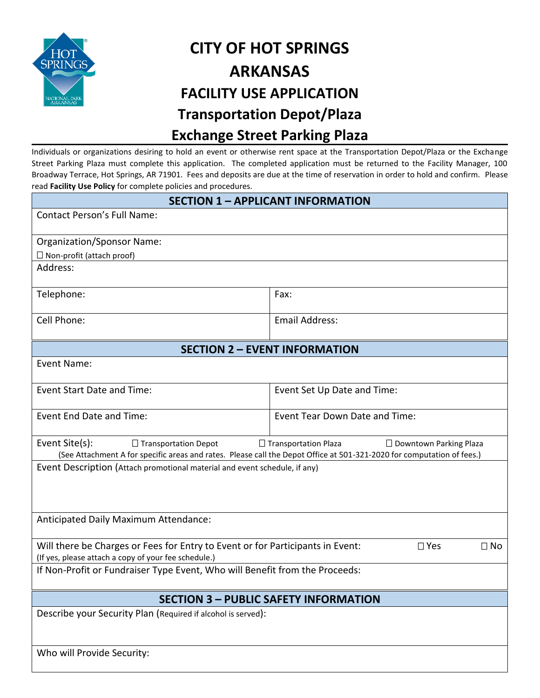

## **CITY OF HOT SPRINGS ARKANSAS FACILITY USE APPLICATION Transportation Depot/Plaza Exchange Street Parking Plaza**

Individuals or organizations desiring to hold an event or otherwise rent space at the Transportation Depot/Plaza or the Exchange Street Parking Plaza must complete this application. The completed application must be returned to the Facility Manager, 100 Broadway Terrace, Hot Springs, AR 71901. Fees and deposits are due at the time of reservation in order to hold and confirm. Please read **Facility Use Policy** for complete policies and procedures.

| <b>SECTION 1 - APPLICANT INFORMATION</b>                                                                                                                             |                                                                                                                                                                                        |  |  |  |  |  |
|----------------------------------------------------------------------------------------------------------------------------------------------------------------------|----------------------------------------------------------------------------------------------------------------------------------------------------------------------------------------|--|--|--|--|--|
| <b>Contact Person's Full Name:</b>                                                                                                                                   |                                                                                                                                                                                        |  |  |  |  |  |
| <b>Organization/Sponsor Name:</b>                                                                                                                                    |                                                                                                                                                                                        |  |  |  |  |  |
| $\Box$ Non-profit (attach proof)                                                                                                                                     |                                                                                                                                                                                        |  |  |  |  |  |
| Address:                                                                                                                                                             |                                                                                                                                                                                        |  |  |  |  |  |
| Telephone:                                                                                                                                                           | Fax:                                                                                                                                                                                   |  |  |  |  |  |
| Cell Phone:                                                                                                                                                          | <b>Email Address:</b>                                                                                                                                                                  |  |  |  |  |  |
| <b>SECTION 2 - EVENT INFORMATION</b>                                                                                                                                 |                                                                                                                                                                                        |  |  |  |  |  |
| Event Name:                                                                                                                                                          |                                                                                                                                                                                        |  |  |  |  |  |
| <b>Event Start Date and Time:</b>                                                                                                                                    | Event Set Up Date and Time:                                                                                                                                                            |  |  |  |  |  |
| Event End Date and Time:                                                                                                                                             | Event Tear Down Date and Time:                                                                                                                                                         |  |  |  |  |  |
| Event Site(s):<br>$\Box$ Transportation Depot                                                                                                                        | $\Box$ Transportation Plaza<br>$\Box$ Downtown Parking Plaza<br>(See Attachment A for specific areas and rates. Please call the Depot Office at 501-321-2020 for computation of fees.) |  |  |  |  |  |
| Event Description (Attach promotional material and event schedule, if any)                                                                                           |                                                                                                                                                                                        |  |  |  |  |  |
|                                                                                                                                                                      |                                                                                                                                                                                        |  |  |  |  |  |
| Anticipated Daily Maximum Attendance:                                                                                                                                |                                                                                                                                                                                        |  |  |  |  |  |
| Will there be Charges or Fees for Entry to Event or for Participants in Event:<br>$\square$ Yes<br>$\Box$ No<br>(If yes, please attach a copy of your fee schedule.) |                                                                                                                                                                                        |  |  |  |  |  |
| If Non-Profit or Fundraiser Type Event, Who will Benefit from the Proceeds:                                                                                          |                                                                                                                                                                                        |  |  |  |  |  |
| <b>SECTION 3 - PUBLIC SAFETY INFORMATION</b>                                                                                                                         |                                                                                                                                                                                        |  |  |  |  |  |
| Describe your Security Plan (Required if alcohol is served):                                                                                                         |                                                                                                                                                                                        |  |  |  |  |  |
| Who will Provide Security:                                                                                                                                           |                                                                                                                                                                                        |  |  |  |  |  |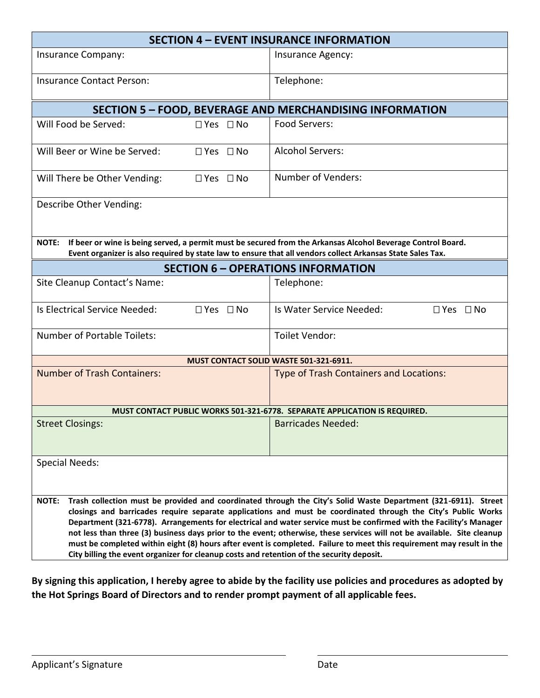| <b>SECTION 4 - EVENT INSURANCE INFORMATION</b>                                                                                                                                                                                                                                                                                                                                                                                                                                                                                                                                                                                                                                                                         |                                                                           |  |  |  |  |
|------------------------------------------------------------------------------------------------------------------------------------------------------------------------------------------------------------------------------------------------------------------------------------------------------------------------------------------------------------------------------------------------------------------------------------------------------------------------------------------------------------------------------------------------------------------------------------------------------------------------------------------------------------------------------------------------------------------------|---------------------------------------------------------------------------|--|--|--|--|
| Insurance Company:                                                                                                                                                                                                                                                                                                                                                                                                                                                                                                                                                                                                                                                                                                     | Insurance Agency:                                                         |  |  |  |  |
| <b>Insurance Contact Person:</b>                                                                                                                                                                                                                                                                                                                                                                                                                                                                                                                                                                                                                                                                                       | Telephone:                                                                |  |  |  |  |
| SECTION 5 - FOOD, BEVERAGE AND MERCHANDISING INFORMATION                                                                                                                                                                                                                                                                                                                                                                                                                                                                                                                                                                                                                                                               |                                                                           |  |  |  |  |
| Will Food be Served:<br>□ Yes □ No                                                                                                                                                                                                                                                                                                                                                                                                                                                                                                                                                                                                                                                                                     | Food Servers:                                                             |  |  |  |  |
| Will Beer or Wine be Served:<br>□ Yes □ No                                                                                                                                                                                                                                                                                                                                                                                                                                                                                                                                                                                                                                                                             | <b>Alcohol Servers:</b>                                                   |  |  |  |  |
| Will There be Other Vending:<br>$\Box$ Yes $\Box$ No                                                                                                                                                                                                                                                                                                                                                                                                                                                                                                                                                                                                                                                                   | Number of Venders:                                                        |  |  |  |  |
| Describe Other Vending:                                                                                                                                                                                                                                                                                                                                                                                                                                                                                                                                                                                                                                                                                                |                                                                           |  |  |  |  |
| If beer or wine is being served, a permit must be secured from the Arkansas Alcohol Beverage Control Board.<br><b>NOTE:</b><br>Event organizer is also required by state law to ensure that all vendors collect Arkansas State Sales Tax.                                                                                                                                                                                                                                                                                                                                                                                                                                                                              |                                                                           |  |  |  |  |
|                                                                                                                                                                                                                                                                                                                                                                                                                                                                                                                                                                                                                                                                                                                        | <b>SECTION 6 - OPERATIONS INFORMATION</b>                                 |  |  |  |  |
| Site Cleanup Contact's Name:                                                                                                                                                                                                                                                                                                                                                                                                                                                                                                                                                                                                                                                                                           | Telephone:                                                                |  |  |  |  |
| Is Electrical Service Needed:<br>$\Box$ Yes $\Box$ No                                                                                                                                                                                                                                                                                                                                                                                                                                                                                                                                                                                                                                                                  | Is Water Service Needed:<br>$\Box$ Yes $\Box$ No                          |  |  |  |  |
| <b>Number of Portable Toilets:</b>                                                                                                                                                                                                                                                                                                                                                                                                                                                                                                                                                                                                                                                                                     | Toilet Vendor:                                                            |  |  |  |  |
|                                                                                                                                                                                                                                                                                                                                                                                                                                                                                                                                                                                                                                                                                                                        | MUST CONTACT SOLID WASTE 501-321-6911.                                    |  |  |  |  |
| <b>Number of Trash Containers:</b>                                                                                                                                                                                                                                                                                                                                                                                                                                                                                                                                                                                                                                                                                     | Type of Trash Containers and Locations:                                   |  |  |  |  |
|                                                                                                                                                                                                                                                                                                                                                                                                                                                                                                                                                                                                                                                                                                                        | MUST CONTACT PUBLIC WORKS 501-321-6778. SEPARATE APPLICATION IS REQUIRED. |  |  |  |  |
| <b>Street Closings:</b>                                                                                                                                                                                                                                                                                                                                                                                                                                                                                                                                                                                                                                                                                                | <b>Barricades Needed:</b>                                                 |  |  |  |  |
| <b>Special Needs:</b>                                                                                                                                                                                                                                                                                                                                                                                                                                                                                                                                                                                                                                                                                                  |                                                                           |  |  |  |  |
| Trash collection must be provided and coordinated through the City's Solid Waste Department (321-6911). Street<br><b>NOTE:</b><br>closings and barricades require separate applications and must be coordinated through the City's Public Works<br>Department (321-6778). Arrangements for electrical and water service must be confirmed with the Facility's Manager<br>not less than three (3) business days prior to the event; otherwise, these services will not be available. Site cleanup<br>must be completed within eight (8) hours after event is completed. Failure to meet this requirement may result in the<br>City billing the event organizer for cleanup costs and retention of the security deposit. |                                                                           |  |  |  |  |

**By signing this application, I hereby agree to abide by the facility use policies and procedures as adopted by the Hot Springs Board of Directors and to render prompt payment of all applicable fees.**